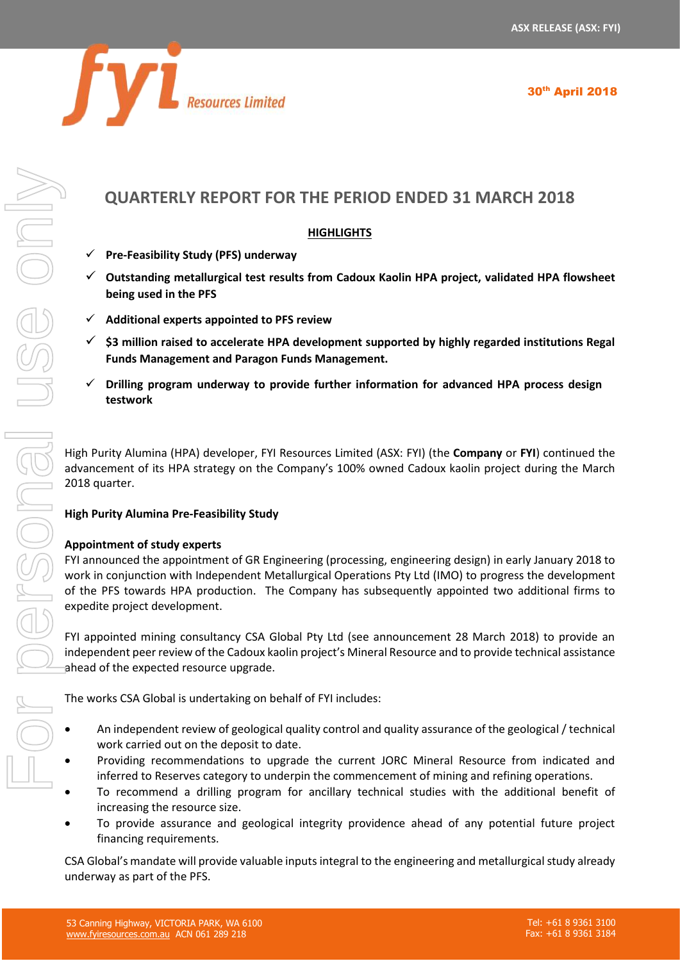

30<sup>th</sup> April 2018

# **QUARTERLY REPORT FOR THE PERIOD ENDED 31 MARCH 2018**

# **HIGHLIGHTS**

- ✓ **Pre-Feasibility Study (PFS) underway**
- ✓ **Outstanding metallurgical test results from Cadoux Kaolin HPA project, validated HPA flowsheet being used in the PFS**
- ✓ **Additional experts appointed to PFS review**
- ✓ **\$3 million raised to accelerate HPA development supported by highly regarded institutions Regal Funds Management and Paragon Funds Management.**
- ✓ **Drilling program underway to provide further information for advanced HPA process design testwork**

High Purity Alumina (HPA) developer, FYI Resources Limited (ASX: FYI) (the **Company** or **FYI**) continued the advancement of its HPA strategy on the Company's 100% owned Cadoux kaolin project during the March 2018 quarter.

## **High Purity Alumina Pre-Feasibility Study**

## **Appointment of study experts**

FYI announced the appointment of GR Engineering (processing, engineering design) in early January 2018 to work in conjunction with Independent Metallurgical Operations Pty Ltd (IMO) to progress the development of the PFS towards HPA production. The Company has subsequently appointed two additional firms to expedite project development.

FYI appointed mining consultancy CSA Global Pty Ltd (see announcement 28 March 2018) to provide an independent peer review of the Cadoux kaolin project's Mineral Resource and to provide technical assistance ahead of the expected resource upgrade.

The works CSA Global is undertaking on behalf of FYI includes:

- An independent review of geological quality control and quality assurance of the geological / technical work carried out on the deposit to date.
- Providing recommendations to upgrade the current JORC Mineral Resource from indicated and inferred to Reserves category to underpin the commencement of mining and refining operations.
- To recommend a drilling program for ancillary technical studies with the additional benefit of increasing the resource size.
- To provide assurance and geological integrity providence ahead of any potential future project financing requirements.

CSA Global's mandate will provide valuable inputs integral to the engineering and metallurgical study already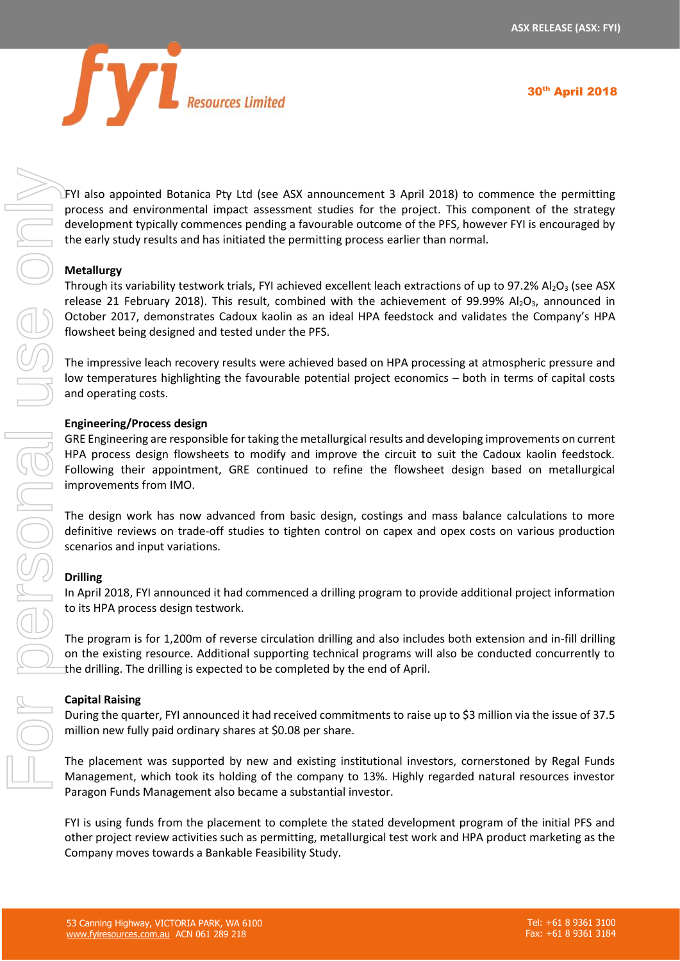

30<sup>th</sup> April 2018

FYI also appointed Botanica Pty Ltd (see ASX announcement 3 April 2018) to commence the permitting process and environmental impact assessment studies for the project. This component of the strategy development typically commences pending a favourable outcome of the PFS, however FYI is encouraged by the early study results and has initiated the permitting process earlier than normal.

# **Metallurgy**

Through its variability testwork trials, FYI achieved excellent leach extractions of up to 97.2% Al<sub>2</sub>O<sub>3</sub> (see ASX release 21 February 2018). This result, combined with the achievement of 99.99% Al<sub>2</sub>O<sub>3</sub>, announced in October 2017, demonstrates Cadoux kaolin as an ideal HPA feedstock and validates the Company's HPA flowsheet being designed and tested under the PFS.

The impressive leach recovery results were achieved based on HPA processing at atmospheric pressure and low temperatures highlighting the favourable potential project economics – both in terms of capital costs and operating costs.

## **Engineering/Process design**

GRE Engineering are responsible for taking the metallurgical results and developing improvements on current HPA process design flowsheets to modify and improve the circuit to suit the Cadoux kaolin feedstock. Following their appointment, GRE continued to refine the flowsheet design based on metallurgical improvements from IMO.

The design work has now advanced from basic design, costings and mass balance calculations to more definitive reviews on trade-off studies to tighten control on capex and opex costs on various production scenarios and input variations.

## **Drilling**

In April 2018, FYI announced it had commenced a drilling program to provide additional project information to its HPA process design testwork.

The program is for 1,200m of reverse circulation drilling and also includes both extension and in-fill drilling on the existing resource. Additional supporting technical programs will also be conducted concurrently to the drilling. The drilling is expected to be completed by the end of April.

## **Capital Raising**

During the quarter, FYI announced it had received commitments to raise up to \$3 million via the issue of 37.5 million new fully paid ordinary shares at \$0.08 per share.

The placement was supported by new and existing institutional investors, cornerstoned by Regal Funds Management, which took its holding of the company to 13%. Highly regarded natural resources investor Paragon Funds Management also became a substantial investor.

FYI is using funds from the placement to complete the stated development program of the initial PFS and other project review activities such as permitting, metallurgical test work and HPA product marketing as the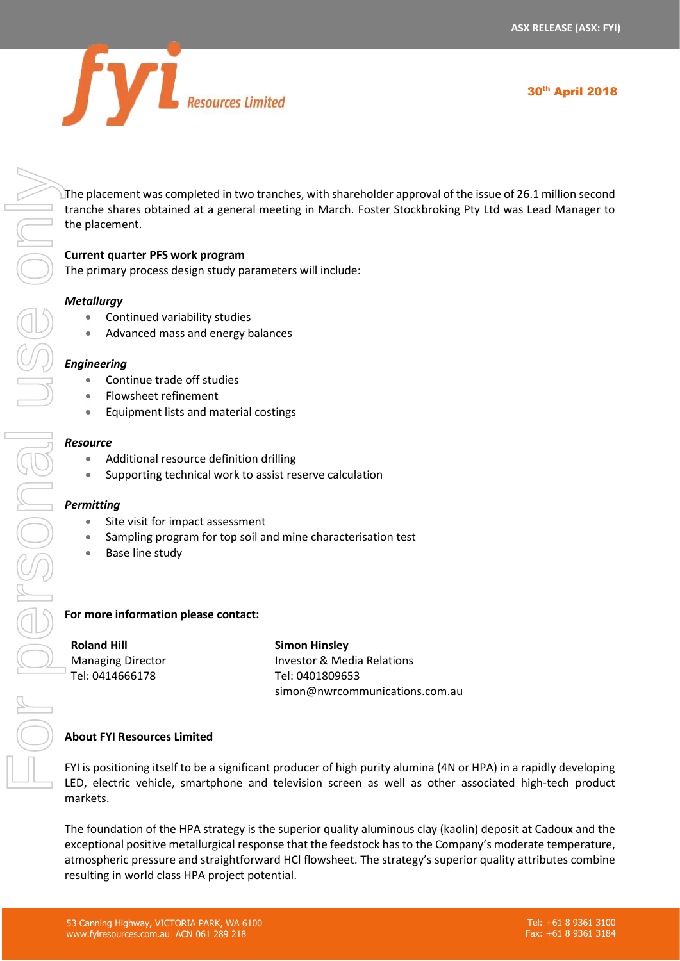

The placement was completed in two tranches, with shareholder approval of the issue of 26.1 million second tranche shares obtained at a general meeting in March. Foster Stockbroking Pty Ltd was Lead Manager to the placement.

# **Current quarter PFS work program**

The primary process design study parameters will include:

## *Metallurgy*

- Continued variability studies
- Advanced mass and energy balances

#### *Engineering*

- Continue trade off studies
- Flowsheet refinement
- Equipment lists and material costings

#### *Resource*

- Additional resource definition drilling
- Supporting technical work to assist reserve calculation

#### *Permitting*

- Site visit for impact assessment
- Sampling program for top soil and mine characterisation test
- Base line study

## **For more information please contact:**

**Roland Hill** Managing Director Tel: 0414666178

**Simon Hinsley** Investor & Media Relations Tel: 0401809653 simon@nwrcommunications.com.au

## **About FYI Resources Limited**

FYI is positioning itself to be a significant producer of high purity alumina (4N or HPA) in a rapidly developing LED, electric vehicle, smartphone and television screen as well as other associated high-tech product markets.

The foundation of the HPA strategy is the superior quality aluminous clay (kaolin) deposit at Cadoux and the exceptional positive metallurgical response that the feedstock has to the Company's moderate temperature, atmospheric pressure and straightforward HCl flowsheet. The strategy's superior quality attributes combine